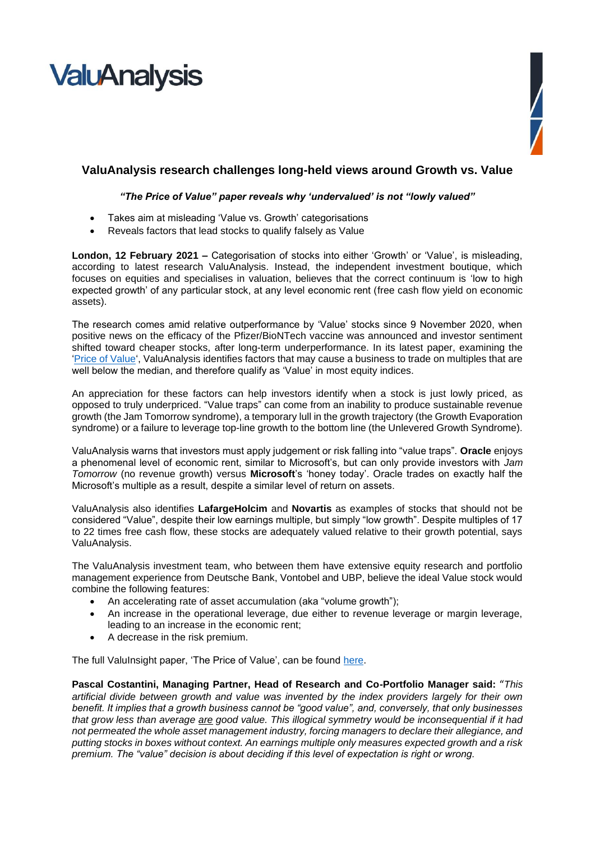# **ValuAnalysis**



# **ValuAnalysis research challenges long-held views around Growth vs. Value**

## *"The Price of Value" paper reveals why 'undervalued' is not "lowly valued"*

- Takes aim at misleading 'Value vs. Growth' categorisations
- Reveals factors that lead stocks to qualify falsely as Value

**London, 12 February 2021 –** Categorisation of stocks into either 'Growth' or 'Value', is misleading, according to latest research ValuAnalysis. Instead, the independent investment boutique, which focuses on equities and specialises in valuation, believes that the correct continuum is 'low to high expected growth' of any particular stock, at any level economic rent (free cash flow yield on economic assets).

The research comes amid relative outperformance by 'Value' stocks since 9 November 2020, when positive news on the efficacy of the Pfizer/BioNTech vaccine was announced and investor sentiment shifted toward cheaper stocks, after long-term underperformance. In its latest paper, examining the ['Price of Value'](https://www.valuanalysis.com/assets/Uploads/PDF-documents/ValuInsight-the-Price-of-Value.pdf), ValuAnalysis identifies factors that may cause a business to trade on multiples that are well below the median, and therefore qualify as 'Value' in most equity indices.

An appreciation for these factors can help investors identify when a stock is just lowly priced, as opposed to truly underpriced. "Value traps" can come from an inability to produce sustainable revenue growth (the Jam Tomorrow syndrome), a temporary lull in the growth trajectory (the Growth Evaporation syndrome) or a failure to leverage top-line growth to the bottom line (the Unlevered Growth Syndrome).

ValuAnalysis warns that investors must apply judgement or risk falling into "value traps". **Oracle** enjoys a phenomenal level of economic rent, similar to Microsoft's, but can only provide investors with *Jam Tomorrow* (no revenue growth) versus **Microsoft**'s 'honey today'. Oracle trades on exactly half the Microsoft's multiple as a result, despite a similar level of return on assets.

ValuAnalysis also identifies **LafargeHolcim** and **Novartis** as examples of stocks that should not be considered "Value", despite their low earnings multiple, but simply "low growth". Despite multiples of 17 to 22 times free cash flow, these stocks are adequately valued relative to their growth potential, says ValuAnalysis.

The ValuAnalysis investment team, who between them have extensive equity research and portfolio management experience from Deutsche Bank, Vontobel and UBP, believe the ideal Value stock would combine the following features:

- An accelerating rate of asset accumulation (aka "volume growth");
- An increase in the operational leverage, due either to revenue leverage or margin leverage, leading to an increase in the economic rent;
- A decrease in the risk premium.

The full ValuInsight paper, 'The Price of Value', can be found [here.](https://www.valuanalysis.com/assets/Uploads/PDF-documents/ValuInsight-the-Price-of-Value.pdf)

**Pascal Costantini, Managing Partner, Head of Research and Co-Portfolio Manager said:** "*This artificial divide between growth and value was invented by the index providers largely for their own benefit. It implies that a growth business cannot be "good value", and, conversely, that only businesses that grow less than average are good value. This illogical symmetry would be inconsequential if it had not permeated the whole asset management industry, forcing managers to declare their allegiance, and putting stocks in boxes without context. An earnings multiple only measures expected growth and a risk premium. The "value" decision is about deciding if this level of expectation is right or wrong.*